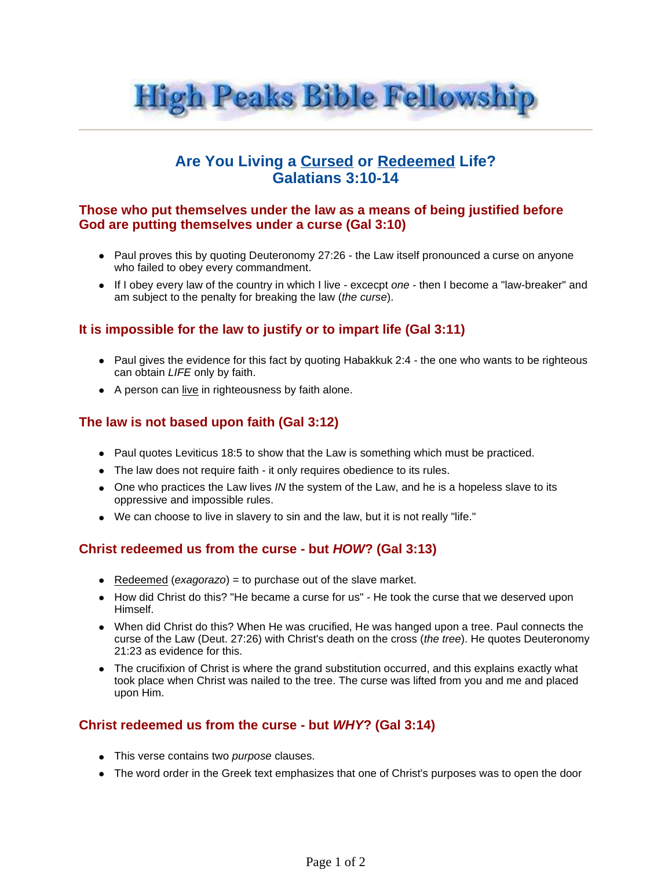

# **Are You Living a Cursed or Redeemed Life? Galatians 3:10-14**

### **Those who put themselves under the law as a means of being justified before God are putting themselves under a curse (Gal 3:10)**

- $\bullet$  Paul proves this by quoting Deuteronomy 27:26 the Law itself pronounced a curse on anyone who failed to obey every commandment.
- If I obey every law of the country in which I live excecpt one then I become a "law-breaker" and am subject to the penalty for breaking the law (the curse).

## **It is impossible for the law to justify or to impart life (Gal 3:11)**

- Paul gives the evidence for this fact by quoting Habakkuk 2:4 the one who wants to be righteous can obtain LIFE only by faith.
- A person can live in righteousness by faith alone.

## **The law is not based upon faith (Gal 3:12)**

- Paul quotes Leviticus 18:5 to show that the Law is something which must be practiced.
- The law does not require faith it only requires obedience to its rules.
- $\bullet$  One who practices the Law lives IN the system of the Law, and he is a hopeless slave to its oppressive and impossible rules.
- We can choose to live in slavery to sin and the law, but it is not really "life."

#### **Christ redeemed us from the curse - but HOW? (Gal 3:13)**

- Redeemed (exagorazo) = to purchase out of the slave market.
- How did Christ do this? "He became a curse for us" He took the curse that we deserved upon Himself.
- When did Christ do this? When He was crucified, He was hanged upon a tree. Paul connects the curse of the Law (Deut. 27:26) with Christ's death on the cross (the tree). He quotes Deuteronomy 21:23 as evidence for this.
- The crucifixion of Christ is where the grand substitution occurred, and this explains exactly what took place when Christ was nailed to the tree. The curse was lifted from you and me and placed upon Him.

#### **Christ redeemed us from the curse - but WHY? (Gal 3:14)**

- This verse contains two purpose clauses.
- The word order in the Greek text emphasizes that one of Christ's purposes was to open the door